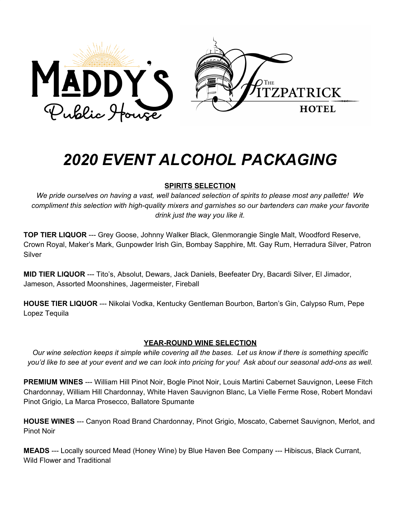

# *2020 EVENT ALCOHOL PACKAGING*

## **SPIRITS SELECTION**

We pride ourselves on having a vast, well balanced selection of spirits to please most any pallette! We *compliment this selection with high-quality mixers and garnishes so our bartenders can make your favorite drink just the way you like it.*

**TOP TIER LIQUOR** --- Grey Goose, Johnny Walker Black, Glenmorangie Single Malt, Woodford Reserve, Crown Royal, Maker's Mark, Gunpowder Irish Gin, Bombay Sapphire, Mt. Gay Rum, Herradura Silver, Patron Silver

**MID TIER LIQUOR** --- Tito's, Absolut, Dewars, Jack Daniels, Beefeater Dry, Bacardi Silver, El Jimador, Jameson, Assorted Moonshines, Jagermeister, Fireball

**HOUSE TIER LIQUOR** --- Nikolai Vodka, Kentucky Gentleman Bourbon, Barton's Gin, Calypso Rum, Pepe Lopez Tequila

## **YEAR-ROUND WINE SELECTION**

Our wine selection keeps it simple while covering all the bases. Let us know if there is something specific you'd like to see at your event and we can look into pricing for you! Ask about our seasonal add-ons as well.

**PREMIUM WINES** --- William Hill Pinot Noir, Bogle Pinot Noir, Louis Martini Cabernet Sauvignon, Leese Fitch Chardonnay, William Hill Chardonnay, White Haven Sauvignon Blanc, La Vielle Ferme Rose, Robert Mondavi Pinot Grigio, La Marca Prosecco, Ballatore Spumante

**HOUSE WINES** --- Canyon Road Brand Chardonnay, Pinot Grigio, Moscato, Cabernet Sauvignon, Merlot, and Pinot Noir

**MEADS** --- Locally sourced Mead (Honey Wine) by Blue Haven Bee Company --- Hibiscus, Black Currant, Wild Flower and Traditional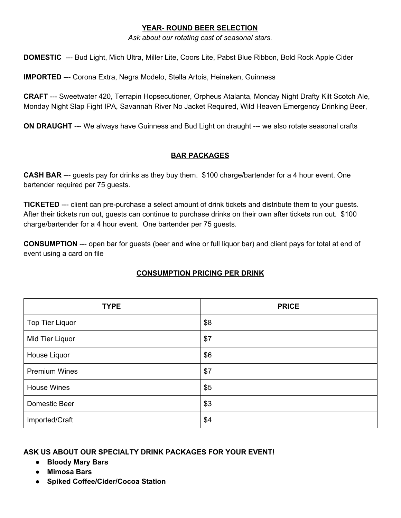#### **YEAR- ROUND BEER SELECTION**

*Ask about our rotating cast of seasonal stars.*

**DOMESTIC** --- Bud Light, Mich Ultra, Miller Lite, Coors Lite, Pabst Blue Ribbon, Bold Rock Apple Cider

**IMPORTED** --- Corona Extra, Negra Modelo, Stella Artois, Heineken, Guinness

**CRAFT** --- Sweetwater 420, Terrapin Hopsecutioner, Orpheus Atalanta, Monday Night Drafty Kilt Scotch Ale, Monday Night Slap Fight IPA, Savannah River No Jacket Required, Wild Heaven Emergency Drinking Beer,

**ON DRAUGHT** --- We always have Guinness and Bud Light on draught --- we also rotate seasonal crafts

## **BAR PACKAGES**

**CASH BAR** --- guests pay for drinks as they buy them. \$100 charge/bartender for a 4 hour event. One bartender required per 75 guests.

**TICKETED** --- client can pre-purchase a select amount of drink tickets and distribute them to your guests. After their tickets run out, guests can continue to purchase drinks on their own after tickets run out. \$100 charge/bartender for a 4 hour event. One bartender per 75 guests.

**CONSUMPTION** --- open bar for guests (beer and wine or full liquor bar) and client pays for total at end of event using a card on file

## **CONSUMPTION PRICING PER DRINK**

| <b>TYPE</b>            | <b>PRICE</b> |
|------------------------|--------------|
| <b>Top Tier Liquor</b> | \$8          |
| Mid Tier Liquor        | \$7          |
| House Liquor           | \$6          |
| <b>Premium Wines</b>   | \$7          |
| <b>House Wines</b>     | \$5          |
| Domestic Beer          | \$3          |
| Imported/Craft         | \$4          |

## **ASK US ABOUT OUR SPECIALTY DRINK PACKAGES FOR YOUR EVENT!**

- **● Bloody Mary Bars**
- **● Mimosa Bars**
- **● Spiked Coffee/Cider/Cocoa Station**